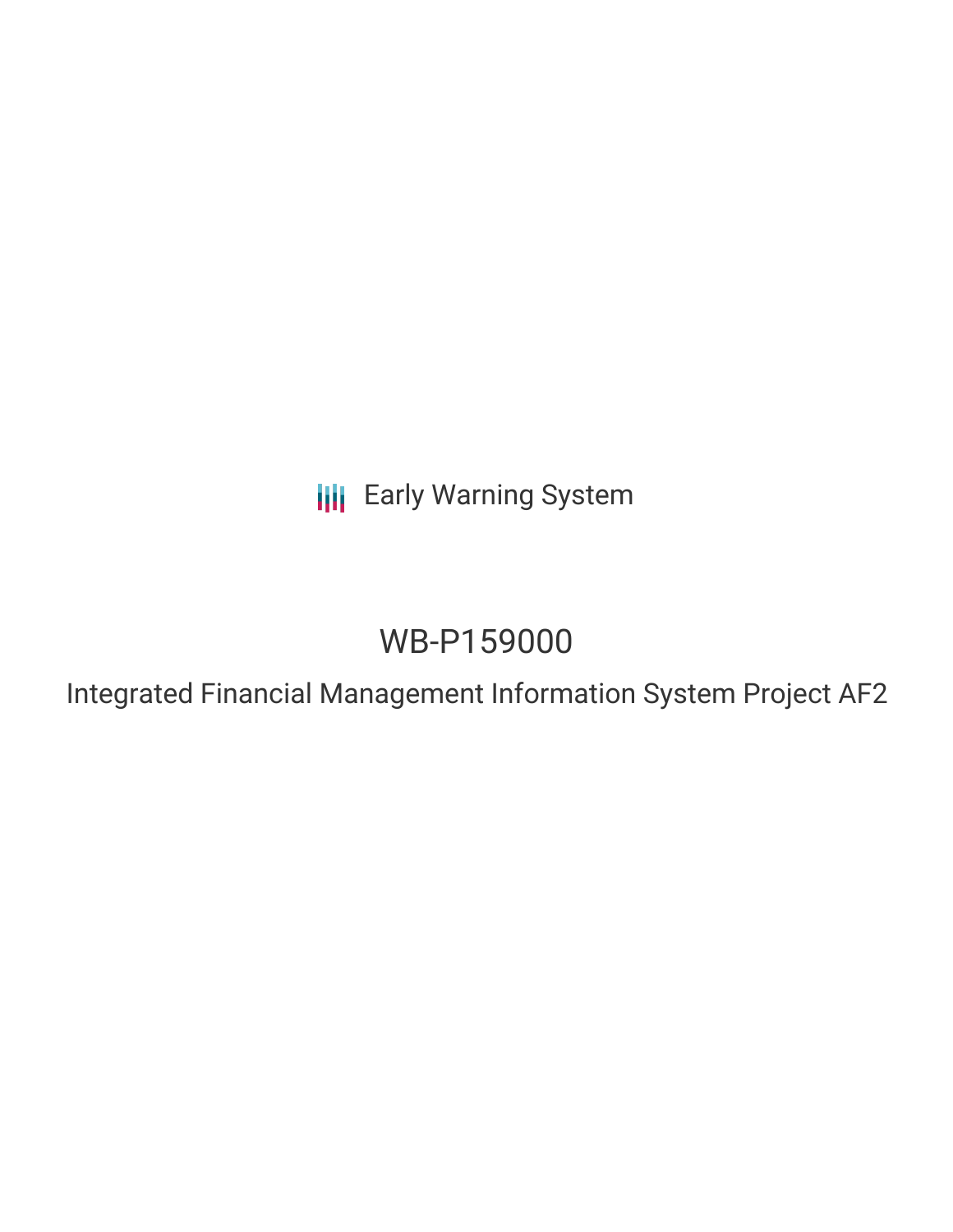**III** Early Warning System

# WB-P159000

Integrated Financial Management Information System Project AF2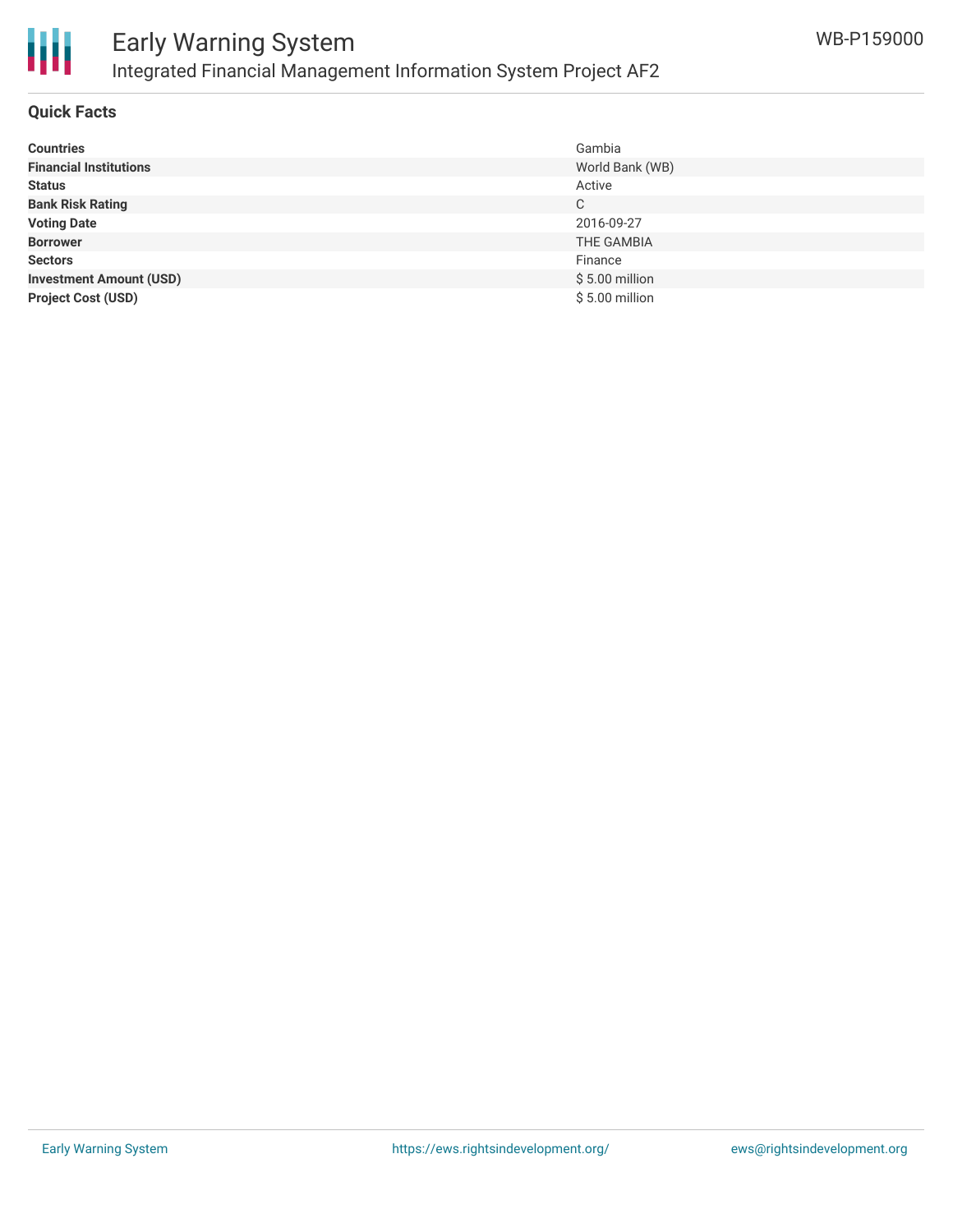

## **Quick Facts**

| <b>Countries</b>               | Gambia          |
|--------------------------------|-----------------|
| <b>Financial Institutions</b>  | World Bank (WB) |
| <b>Status</b>                  | Active          |
| <b>Bank Risk Rating</b>        | C               |
| <b>Voting Date</b>             | 2016-09-27      |
| <b>Borrower</b>                | THE GAMBIA      |
| <b>Sectors</b>                 | Finance         |
| <b>Investment Amount (USD)</b> | $$5.00$ million |
| <b>Project Cost (USD)</b>      | $$5.00$ million |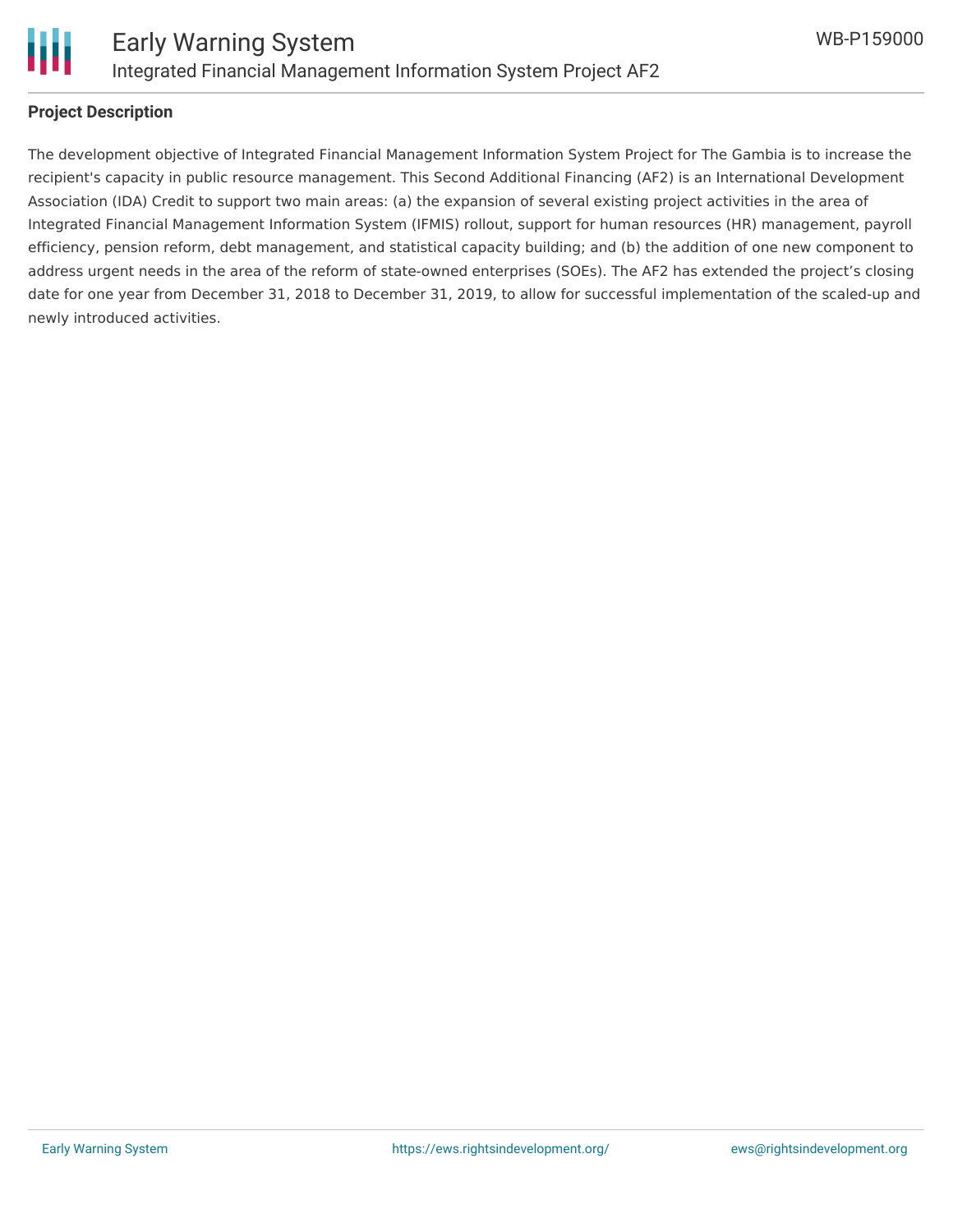

#### **Project Description**

The development objective of Integrated Financial Management Information System Project for The Gambia is to increase the recipient's capacity in public resource management. This Second Additional Financing (AF2) is an International Development Association (IDA) Credit to support two main areas: (a) the expansion of several existing project activities in the area of Integrated Financial Management Information System (IFMIS) rollout, support for human resources (HR) management, payroll efficiency, pension reform, debt management, and statistical capacity building; and (b) the addition of one new component to address urgent needs in the area of the reform of state-owned enterprises (SOEs). The AF2 has extended the project's closing date for one year from December 31, 2018 to December 31, 2019, to allow for successful implementation of the scaled-up and newly introduced activities.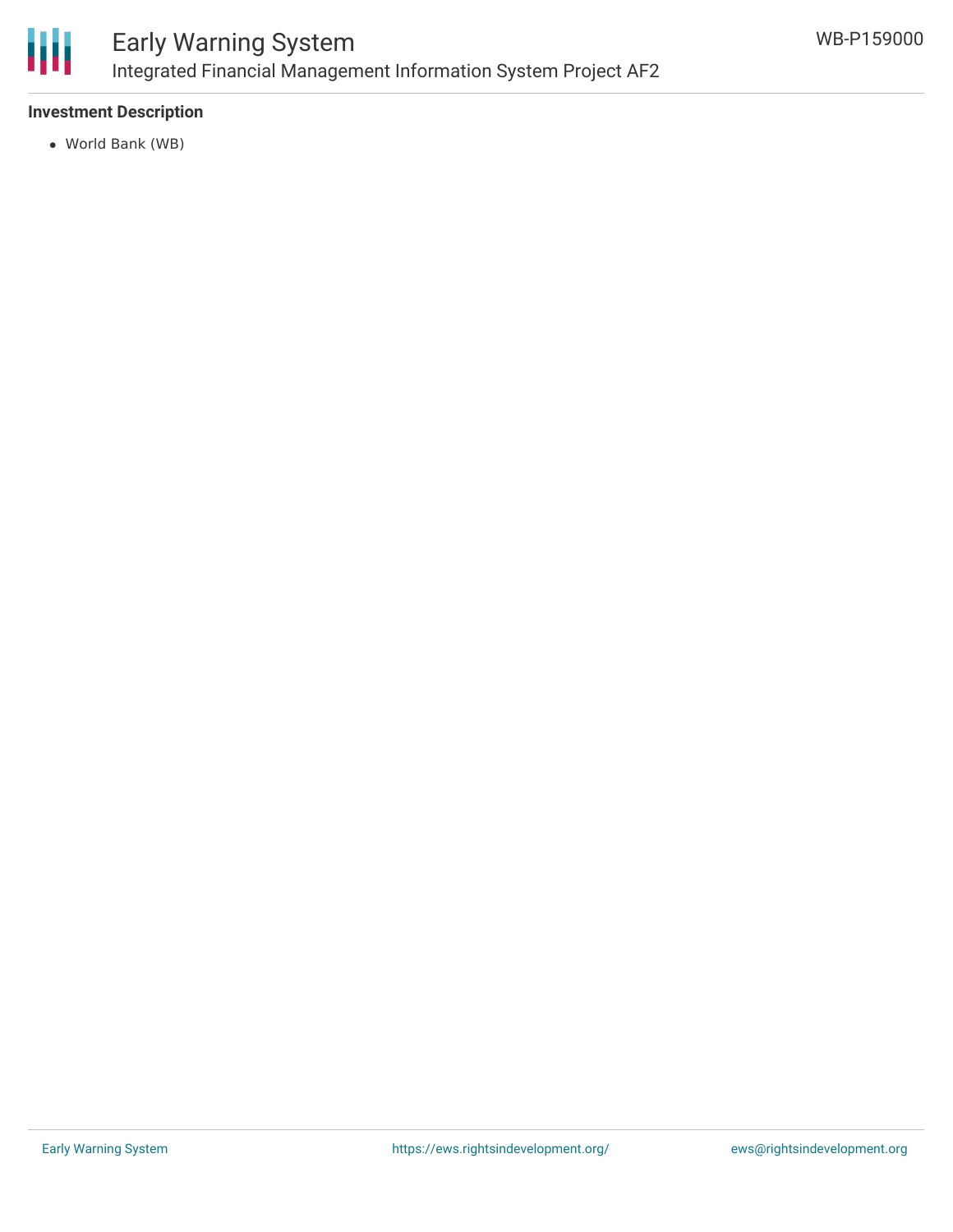

## **Investment Description**

World Bank (WB)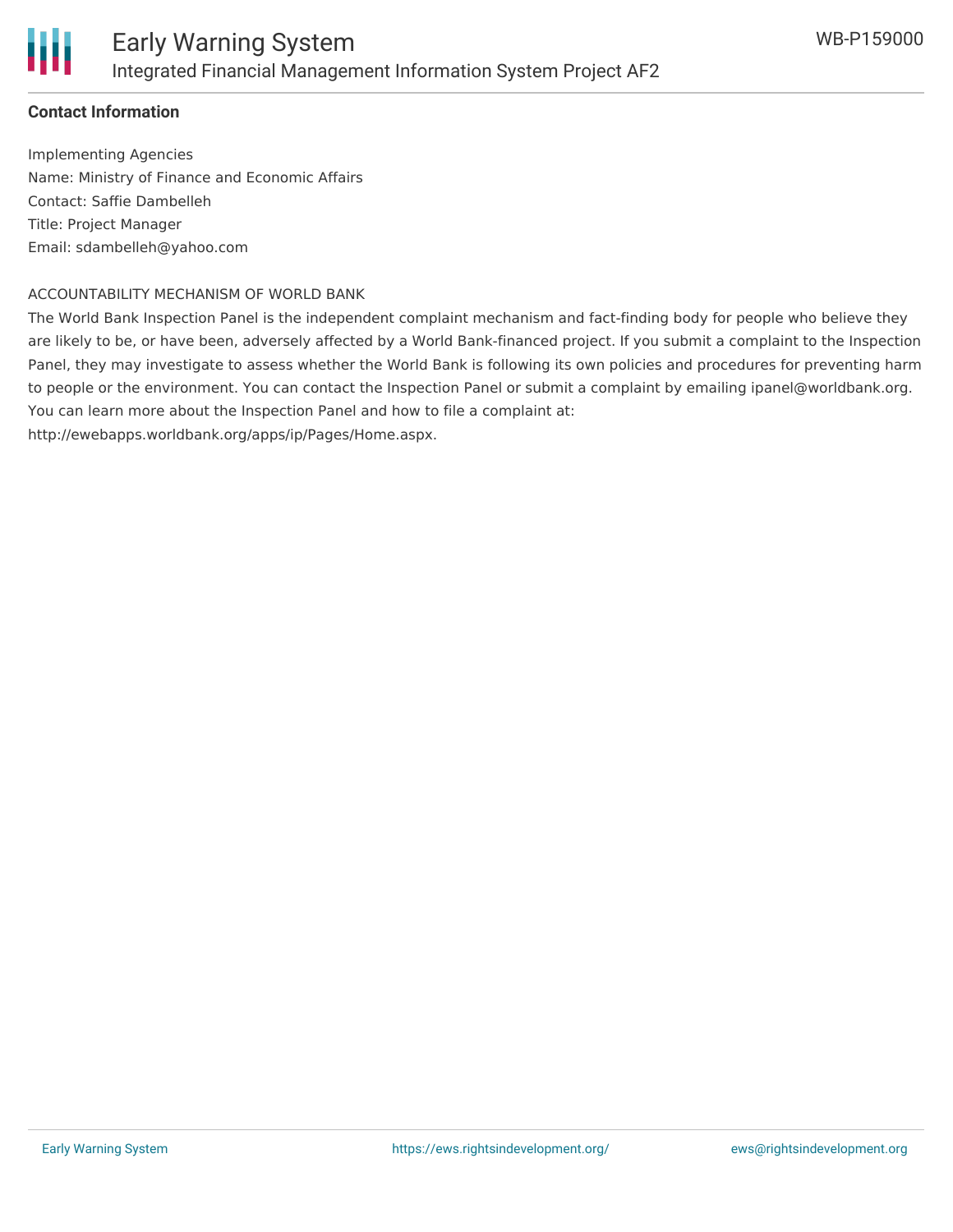

### **Contact Information**

Implementing Agencies Name: Ministry of Finance and Economic Affairs Contact: Saffie Dambelleh Title: Project Manager Email: sdambelleh@yahoo.com

#### ACCOUNTABILITY MECHANISM OF WORLD BANK

The World Bank Inspection Panel is the independent complaint mechanism and fact-finding body for people who believe they are likely to be, or have been, adversely affected by a World Bank-financed project. If you submit a complaint to the Inspection Panel, they may investigate to assess whether the World Bank is following its own policies and procedures for preventing harm to people or the environment. You can contact the Inspection Panel or submit a complaint by emailing ipanel@worldbank.org. You can learn more about the Inspection Panel and how to file a complaint at:

http://ewebapps.worldbank.org/apps/ip/Pages/Home.aspx.